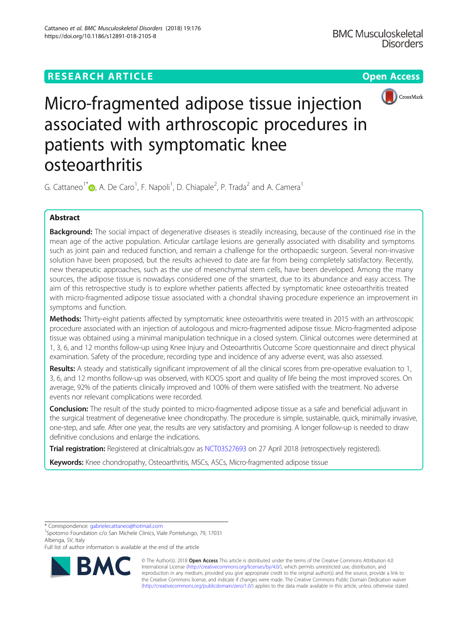

# Micro-fragmented adipose tissue injection associated with arthroscopic procedures in patients with symptomatic knee osteoarthritis

G. Cattaneo<sup>1[\\*](http://orcid.org/0000-0001-5908-5318)</sup>  $\bullet$ , A. De Caro<sup>1</sup>, F. Napoli<sup>1</sup>, D. Chiapale<sup>2</sup>, P. Trada<sup>2</sup> and A. Camera<sup>1</sup>

## Abstract

Background: The social impact of degenerative diseases is steadily increasing, because of the continued rise in the mean age of the active population. Articular cartilage lesions are generally associated with disability and symptoms such as joint pain and reduced function, and remain a challenge for the orthopaedic surgeon. Several non-invasive solution have been proposed, but the results achieved to date are far from being completely satisfactory. Recently, new therapeutic approaches, such as the use of mesenchymal stem cells, have been developed. Among the many sources, the adipose tissue is nowadays considered one of the smartest, due to its abundance and easy access. The aim of this retrospective study is to explore whether patients affected by symptomatic knee osteoarthritis treated with micro-fragmented adipose tissue associated with a chondral shaving procedure experience an improvement in symptoms and function.

Methods: Thirty-eight patients affected by symptomatic knee osteoarthritis were treated in 2015 with an arthroscopic procedure associated with an injection of autologous and micro-fragmented adipose tissue. Micro-fragmented adipose tissue was obtained using a minimal manipulation technique in a closed system. Clinical outcomes were determined at 1, 3, 6, and 12 months follow-up using Knee Injury and Osteoarthritis Outcome Score questionnaire and direct physical examination. Safety of the procedure, recording type and incidence of any adverse event, was also assessed.

Results: A steady and statistically significant improvement of all the clinical scores from pre-operative evaluation to 1, 3, 6, and 12 months follow-up was observed, with KOOS sport and quality of life being the most improved scores. On average, 92% of the patients clinically improved and 100% of them were satisfied with the treatment. No adverse events nor relevant complications were recorded.

Conclusion: The result of the study pointed to micro-fragmented adipose tissue as a safe and beneficial adjuvant in the surgical treatment of degenerative knee chondropathy. The procedure is simple, sustainable, quick, minimally invasive, one-step, and safe. After one year, the results are very satisfactory and promising. A longer follow-up is needed to draw definitive conclusions and enlarge the indications.

Trial registration: Registered at clinicaltrials.gov as [NCT03527693](https://clinicaltrials.gov/ct2/show/NCT03527693?term=lipogems&rank=6) on 27 April 2018 (retrospectively registered).

Keywords: Knee chondropathy, Osteoarthritis, MSCs, ASCs, Micro-fragmented adipose tissue

\* Correspondence: [gabrielecattaneo@hotmail.com](mailto:gabrielecattaneo@hotmail.com) <sup>1</sup>

Full list of author information is available at the end of the article



© The Author(s). 2018 Open Access This article is distributed under the terms of the Creative Commons Attribution 4.0 International License [\(http://creativecommons.org/licenses/by/4.0/](http://creativecommons.org/licenses/by/4.0/)), which permits unrestricted use, distribution, and reproduction in any medium, provided you give appropriate credit to the original author(s) and the source, provide a link to the Creative Commons license, and indicate if changes were made. The Creative Commons Public Domain Dedication waiver [\(http://creativecommons.org/publicdomain/zero/1.0/](http://creativecommons.org/publicdomain/zero/1.0/)) applies to the data made available in this article, unless otherwise stated.

<sup>&</sup>lt;sup>1</sup>Spotorno Foundation c/o San Michele Clinics, Viale Pontelungo, 79, 17031 Albenga, SV, Italy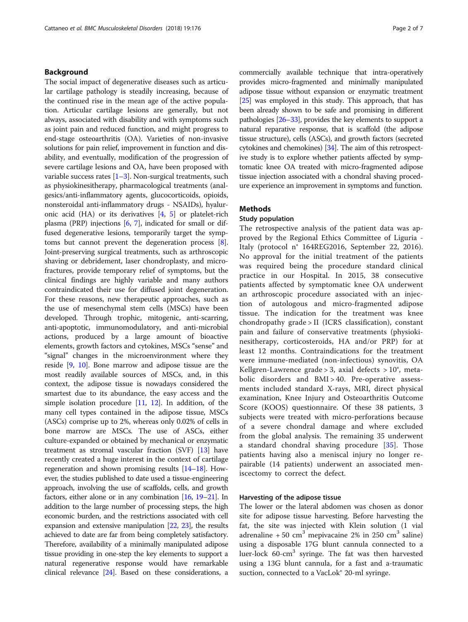## Background

The social impact of degenerative diseases such as articular cartilage pathology is steadily increasing, because of the continued rise in the mean age of the active population. Articular cartilage lesions are generally, but not always, associated with disability and with symptoms such as joint pain and reduced function, and might progress to end-stage osteoarthritis (OA). Varieties of non-invasive solutions for pain relief, improvement in function and disability, and eventually, modification of the progression of severe cartilage lesions and OA, have been proposed with variable success rates  $[1-3]$  $[1-3]$  $[1-3]$  $[1-3]$  $[1-3]$ . Non-surgical treatments, such as physiokinesitherapy, pharmacological treatments (analgesics/anti-inflammatory agents, glucocorticoids, opioids, nonsteroidal anti-inflammatory drugs - NSAIDs), hyaluronic acid (HA) or its derivatives [\[4,](#page-6-0) [5\]](#page-6-0) or platelet-rich plasma (PRP) injections [\[6](#page-6-0), [7\]](#page-6-0), indicated for small or diffused degenerative lesions, temporarily target the symptoms but cannot prevent the degeneration process [[8](#page-6-0)]. Joint-preserving surgical treatments, such as arthroscopic shaving or debridement, laser chondroplasty, and microfractures, provide temporary relief of symptoms, but the clinical findings are highly variable and many authors contraindicated their use for diffused joint degeneration. For these reasons, new therapeutic approaches, such as the use of mesenchymal stem cells (MSCs) have been developed. Through trophic, mitogenic, anti-scarring, anti-apoptotic, immunomodulatory, and anti-microbial actions, produced by a large amount of bioactive elements, growth factors and cytokines, MSCs "sense" and "signal" changes in the microenvironment where they reside [[9,](#page-6-0) [10](#page-6-0)]. Bone marrow and adipose tissue are the most readily available sources of MSCs, and, in this context, the adipose tissue is nowadays considered the smartest due to its abundance, the easy access and the simple isolation procedure [\[11,](#page-6-0) [12\]](#page-6-0). In addition, of the many cell types contained in the adipose tissue, MSCs (ASCs) comprise up to 2%, whereas only 0.02% of cells in bone marrow are MSCs. The use of ASCs, either culture-expanded or obtained by mechanical or enzymatic treatment as stromal vascular fraction (SVF) [\[13](#page-6-0)] have recently created a huge interest in the context of cartilage regeneration and shown promising results [\[14](#page-6-0)–[18\]](#page-6-0). However, the studies published to date used a tissue-engineering approach, involving the use of scaffolds, cells, and growth factors, either alone or in any combination [\[16,](#page-6-0) [19](#page-6-0)–[21\]](#page-6-0). In addition to the large number of processing steps, the high economic burden, and the restrictions associated with cell expansion and extensive manipulation [[22](#page-6-0), [23](#page-6-0)], the results achieved to date are far from being completely satisfactory. Therefore, availability of a minimally manipulated adipose tissue providing in one-step the key elements to support a natural regenerative response would have remarkable clinical relevance [\[24](#page-6-0)]. Based on these considerations, a commercially available technique that intra-operatively provides micro-fragmented and minimally manipulated adipose tissue without expansion or enzymatic treatment [[25](#page-6-0)] was employed in this study. This approach, that has been already shown to be safe and promising in different pathologies [[26](#page-6-0)–[33](#page-6-0)], provides the key elements to support a natural reparative response, that is scaffold (the adipose tissue structure), cells (ASCs), and growth factors (secreted cytokines and chemokines) [\[34\]](#page-6-0). The aim of this retrospective study is to explore whether patients affected by symptomatic knee OA treated with micro-fragmented adipose tissue injection associated with a chondral shaving procedure experience an improvement in symptoms and function.

## **Methods**

## Study population

The retrospective analysis of the patient data was approved by the Regional Ethics Committee of Liguria - Italy (protocol n° 164REG2016, September 22, 2016). No approval for the initial treatment of the patients was required being the procedure standard clinical practice in our Hospital. In 2015, 38 consecutive patients affected by symptomatic knee OA underwent an arthroscopic procedure associated with an injection of autologous and micro-fragmented adipose tissue. The indication for the treatment was knee chondropathy grade > II (ICRS classification), constant pain and failure of conservative treatments (physiokinesitherapy, corticosteroids, HA and/or PRP) for at least 12 months. Contraindications for the treatment were immune-mediated (non-infectious) synovitis, OA Kellgren-Lawrence grade > 3, axial defects > 10°, metabolic disorders and BMI > 40. Pre-operative assessments included standard X-rays, MRI, direct physical examination, Knee Injury and Osteoarthritis Outcome Score (KOOS) questionnaire. Of these 38 patients, 3 subjects were treated with micro-perforations because of a severe chondral damage and where excluded from the global analysis. The remaining 35 underwent a standard chondral shaving procedure [\[35](#page-6-0)]. Those patients having also a meniscal injury no longer repairable (14 patients) underwent an associated meniscectomy to correct the defect.

## Harvesting of the adipose tissue

The lower or the lateral abdomen was chosen as donor site for adipose tissue harvesting. Before harvesting the fat, the site was injected with Klein solution (1 vial adrenaline  $+50 \text{ cm}^3$  mepivacaine 2% in 250 cm<sup>3</sup> saline) using a disposable 17G blunt cannula connected to a luer-lock  $60$ -cm<sup>3</sup> syringe. The fat was then harvested using a 13G blunt cannula, for a fast and a-traumatic suction, connected to a VacLok<sup>®</sup> 20-ml syringe.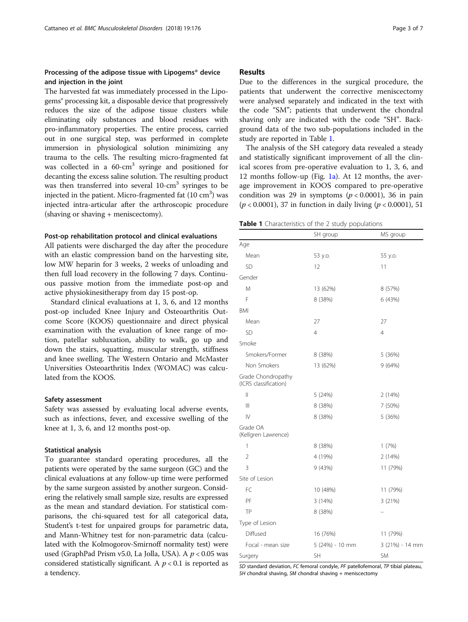## Processing of the adipose tissue with Lipogems® device and injection in the joint

The harvested fat was immediately processed in the Lipogems® processing kit, a disposable device that progressively reduces the size of the adipose tissue clusters while eliminating oily substances and blood residues with pro-inflammatory properties. The entire process, carried out in one surgical step, was performed in complete immersion in physiological solution minimizing any trauma to the cells. The resulting micro-fragmented fat was collected in a 60-cm<sup>3</sup> syringe and positioned for decanting the excess saline solution. The resulting product was then transferred into several  $10$ -cm<sup>3</sup> syringes to be injected in the patient. Micro-fragmented fat  $(10 \text{ cm}^3)$  was injected intra-articular after the arthroscopic procedure (shaving or shaving + meniscectomy).

## Post-op rehabilitation protocol and clinical evaluations

All patients were discharged the day after the procedure with an elastic compression band on the harvesting site, low MW heparin for 3 weeks, 2 weeks of unloading and then full load recovery in the following 7 days. Continuous passive motion from the immediate post-op and active physiokinesitherapy from day 15 post-op.

Standard clinical evaluations at 1, 3, 6, and 12 months post-op included Knee Injury and Osteoarthritis Outcome Score (KOOS) questionnaire and direct physical examination with the evaluation of knee range of motion, patellar subluxation, ability to walk, go up and down the stairs, squatting, muscular strength, stiffness and knee swelling. The Western Ontario and McMaster Universities Osteoarthritis Index (WOMAC) was calculated from the KOOS.

#### Safety assessment

Safety was assessed by evaluating local adverse events, such as infections, fever, and excessive swelling of the knee at 1, 3, 6, and 12 months post-op.

## Statistical analysis

To guarantee standard operating procedures, all the patients were operated by the same surgeon (GC) and the clinical evaluations at any follow-up time were performed by the same surgeon assisted by another surgeon. Considering the relatively small sample size, results are expressed as the mean and standard deviation. For statistical comparisons, the chi-squared test for all categorical data, Student's t-test for unpaired groups for parametric data, and Mann-Whitney test for non-parametric data (calculated with the Kolmogorov-Smirnoff normality test) were used (GraphPad Prism v5.0, La Jolla, USA). A  $p < 0.05$  was considered statistically significant. A  $p < 0.1$  is reported as a tendency.

## Results

Due to the differences in the surgical procedure, the patients that underwent the corrective meniscectomy were analysed separately and indicated in the text with the code "SM"; patients that underwent the chondral shaving only are indicated with the code "SH". Background data of the two sub-populations included in the study are reported in Table 1.

The analysis of the SH category data revealed a steady and statistically significant improvement of all the clinical scores from pre-operative evaluation to 1, 3, 6, and 12 months follow-up (Fig. [1a](#page-3-0)). At 12 months, the average improvement in KOOS compared to pre-operative condition was 29 in symptoms  $(p < 0.0001)$ , 36 in pain  $(p < 0.0001)$ , 37 in function in daily living  $(p < 0.0001)$ , 51

Table 1 Characteristics of the 2 study populations

|                                             | SH group        | MS group        |  |
|---------------------------------------------|-----------------|-----------------|--|
| Age                                         |                 |                 |  |
| Mean                                        | 53 y.o.         | 55 y.o.         |  |
| SD                                          | 12              | 11              |  |
| Gender                                      |                 |                 |  |
| M                                           | 13 (62%)        | 8 (57%)         |  |
| F                                           | 8 (38%)         | 6 (43%)         |  |
| BMI                                         |                 |                 |  |
| Mean                                        | 27              | 27              |  |
| SD                                          | $\overline{4}$  | 4               |  |
| Smoke                                       |                 |                 |  |
| Smokers/Former                              | 8 (38%)         | 5 (36%)         |  |
| Non Smokers                                 | 13 (62%)        | 9 (64%)         |  |
| Grade Chondropathy<br>(ICRS classification) |                 |                 |  |
| Ш                                           | 5 (24%)         | 2 (14%)         |  |
| $\mathbf{III}$                              | 8 (38%)         | 7 (50%)         |  |
| IV                                          | 8 (38%)         | 5 (36%)         |  |
| Grade OA<br>(Kellgren Lawrence)             |                 |                 |  |
| 1                                           | 8 (38%)         | 1(7%)           |  |
| $\overline{2}$                              | 4 (19%)         | 2 (14%)         |  |
| $\overline{3}$                              | 9 (43%)         | 11 (79%)        |  |
| Site of Lesion                              |                 |                 |  |
| FC                                          | 10 (48%)        | 11 (79%)        |  |
| PF                                          | 3 (14%)         | 3(21%)          |  |
| TP                                          | 8 (38%)         |                 |  |
| Type of Lesion                              |                 |                 |  |
| Diffused                                    | 16 (76%)        | 11 (79%)        |  |
| Focal - mean size                           | 5 (24%) - 10 mm | 3 (21%) - 14 mm |  |
| Surgery                                     | <b>SH</b>       | <b>SM</b>       |  |

SD standard deviation, FC femoral condyle, PF patellofemoral, TP tibial plateau, SH chondral shaving, SM chondral shaving + meniscectomy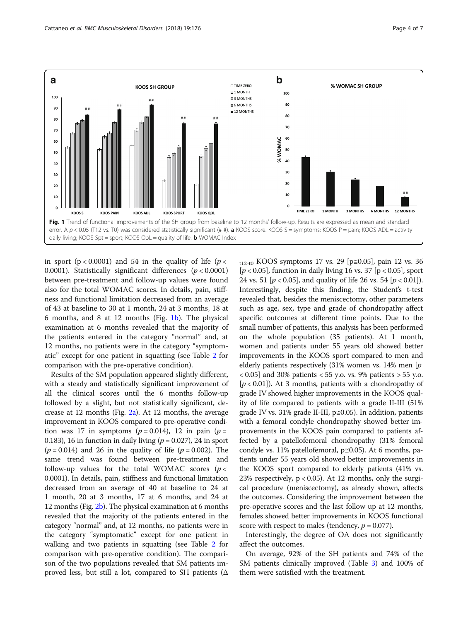<span id="page-3-0"></span>

in sport ( $p < 0.0001$ ) and 54 in the quality of life ( $p <$ 0.0001). Statistically significant differences  $(p < 0.0001)$ between pre-treatment and follow-up values were found also for the total WOMAC scores. In details, pain, stiffness and functional limitation decreased from an average of 43 at baseline to 30 at 1 month, 24 at 3 months, 18 at 6 months, and 8 at 12 months (Fig. 1b). The physical examination at 6 months revealed that the majority of the patients entered in the category "normal" and, at 12 months, no patients were in the category "symptomatic" except for one patient in squatting (see Table [2](#page-4-0) for comparison with the pre-operative condition).

Results of the SM population appeared slightly different, with a steady and statistically significant improvement of all the clinical scores until the 6 months follow-up followed by a slight, but not statistically significant, decrease at 12 months (Fig. [2a\)](#page-4-0). At 12 months, the average improvement in KOOS compared to pre-operative condition was 17 in symptoms ( $p = 0.014$ ), 12 in pain ( $p =$ 0.183), 16 in function in daily living ( $p = 0.027$ ), 24 in sport  $(p = 0.014)$  and 26 in the quality of life  $(p = 0.002)$ . The same trend was found between pre-treatment and follow-up values for the total WOMAC scores ( $p <$ 0.0001). In details, pain, stiffness and functional limitation decreased from an average of 40 at baseline to 24 at 1 month, 20 at 3 months, 17 at 6 months, and 24 at 12 months (Fig. [2b](#page-4-0)). The physical examination at 6 months revealed that the majority of the patients entered in the category "normal" and, at 12 months, no patients were in the category "symptomatic" except for one patient in walking and two patients in squatting (see Table [2](#page-4-0) for comparison with pre-operative condition). The comparison of the two populations revealed that SM patients improved less, but still a lot, compared to SH patients ( $\Delta$ 

t12-t0 KOOS symptoms 17 vs. 29 [p≅0.05], pain 12 vs. 36  $[p < 0.05]$ , function in daily living 16 vs. 37  $[p < 0.05]$ , sport 24 vs. 51  $[p < 0.05]$ , and quality of life 26 vs. 54  $[p < 0.01]$ ). Interestingly, despite this finding, the Student's t-test revealed that, besides the meniscectomy, other parameters such as age, sex, type and grade of chondropathy affect specific outcomes at different time points. Due to the small number of patients, this analysis has been performed on the whole population (35 patients). At 1 month, women and patients under 55 years old showed better improvements in the KOOS sport compared to men and elderly patients respectively (31% women vs. 14% men [p  $\langle 0.05 \rangle$  and 30% patients  $\langle 55 \rangle$  y.o. vs. 9% patients  $> 55 \rangle$  y.o.  $[p < 0.01]$ ). At 3 months, patients with a chondropathy of grade IV showed higher improvements in the KOOS quality of life compared to patients with a grade II-III (51% grade IV vs. 31% grade II-III,  $p \approx 0.05$ ). In addition, patients with a femoral condyle chondropathy showed better improvements in the KOOS pain compared to patients affected by a patellofemoral chondropathy (31% femoral condyle vs. 11% patellofemoral,  $p \approx 0.05$ ). At 6 months, patients under 55 years old showed better improvements in the KOOS sport compared to elderly patients (41% vs. 23% respectively,  $p < 0.05$ ). At 12 months, only the surgical procedure (meniscectomy), as already shown, affects the outcomes. Considering the improvement between the pre-operative scores and the last follow up at 12 months, females showed better improvements in KOOS functional score with respect to males (tendency,  $p = 0.077$ ).

Interestingly, the degree of OA does not significantly affect the outcomes.

On average, 92% of the SH patients and 74% of the SM patients clinically improved (Table [3\)](#page-5-0) and 100% of them were satisfied with the treatment.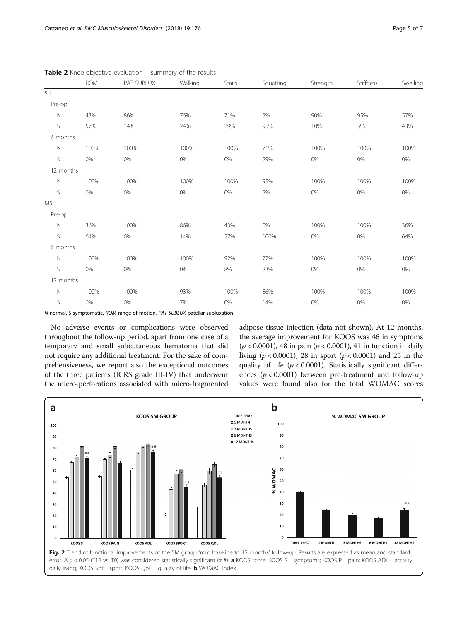|             | <b>ROM</b> | PAT SUBLUX | Walking | Stairs | Squatting | Strength | <b>Stiffness</b> | Swelling |
|-------------|------------|------------|---------|--------|-----------|----------|------------------|----------|
| SH          |            |            |         |        |           |          |                  |          |
| Pre-op      |            |            |         |        |           |          |                  |          |
| $\mathbb N$ | 43%        | 86%        | 76%     | 71%    | 5%        | 90%      | 95%              | 57%      |
| S           | 57%        | 14%        | 24%     | 29%    | 95%       | 10%      | 5%               | 43%      |
| 6 months    |            |            |         |        |           |          |                  |          |
| $\mathbb N$ | 100%       | 100%       | 100%    | 100%   | 71%       | 100%     | 100%             | 100%     |
| S           | 0%         | 0%         | 0%      | 0%     | 29%       | 0%       | 0%               | $0\%$    |
| 12 months   |            |            |         |        |           |          |                  |          |
| $\mathbb N$ | 100%       | 100%       | 100%    | 100%   | 95%       | 100%     | 100%             | 100%     |
| S           | 0%         | 0%         | 0%      | 0%     | 5%        | 0%       | 0%               | 0%       |
| <b>MS</b>   |            |            |         |        |           |          |                  |          |
| Pre-op      |            |            |         |        |           |          |                  |          |
| $\hbox{N}$  | 36%        | 100%       | 86%     | 43%    | 0%        | 100%     | 100%             | 36%      |
| S           | 64%        | 0%         | 14%     | 57%    | 100%      | 0%       | 0%               | 64%      |
| 6 months    |            |            |         |        |           |          |                  |          |
| $\mathbb N$ | 100%       | 100%       | 100%    | 92%    | 77%       | 100%     | 100%             | 100%     |
| S           | 0%         | 0%         | 0%      | 8%     | 23%       | 0%       | 0%               | 0%       |
| 12 months   |            |            |         |        |           |          |                  |          |
| $\mathbb N$ | 100%       | 100%       | 93%     | 100%   | 86%       | 100%     | 100%             | 100%     |
| S           | 0%         | 0%         | 7%      | 0%     | 14%       | 0%       | 0%               | 0%       |

<span id="page-4-0"></span>Table 2 Knee objective evaluation – summary of the results

N normal, S symptomatic, ROM range of motion, PAT SUBLUX patellar subluxation

No adverse events or complications were observed throughout the follow-up period, apart from one case of a temporary and small subcutaneous hematoma that did not require any additional treatment. For the sake of comprehensiveness, we report also the exceptional outcomes of the three patients (ICRS grade III-IV) that underwent the micro-perforations associated with micro-fragmented adipose tissue injection (data not shown). At 12 months, the average improvement for KOOS was 46 in symptoms  $(p < 0.0001)$ , 48 in pain  $(p < 0.0001)$ , 41 in function in daily living ( $p < 0.0001$ ), 28 in sport ( $p < 0.0001$ ) and 25 in the quality of life ( $p < 0.0001$ ). Statistically significant differences ( $p < 0.0001$ ) between pre-treatment and follow-up values were found also for the total WOMAC scores

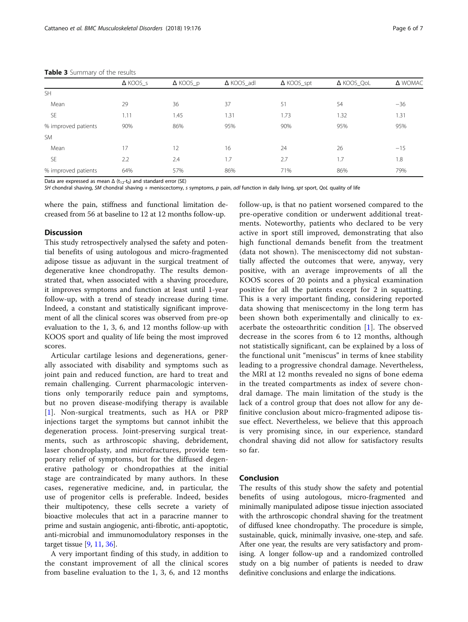|                     | $\triangle$ KOOS s | $\triangle$ KOOS_p | $\triangle$ KOOS_adl | $\triangle$ KOOS_spt | $\triangle$ KOOS_QoL | $\Delta$ WOMAC |
|---------------------|--------------------|--------------------|----------------------|----------------------|----------------------|----------------|
| <b>SH</b>           |                    |                    |                      |                      |                      |                |
| Mean                | 29                 | 36                 | 37                   | 51                   | 54                   | $-36$          |
| <b>SE</b>           | 1.11               | 1.45               | 1.31                 | 1.73                 | 1.32                 | 1.31           |
| % improved patients | 90%                | 86%                | 95%                  | 90%                  | 95%                  | 95%            |
| <b>SM</b>           |                    |                    |                      |                      |                      |                |
| Mean                | 17                 | 12                 | 16                   | 24                   | 26                   | $-15$          |
| <b>SE</b>           | 2.2                | 2.4                | 1.7                  | 2.7                  | 1.7                  | 1.8            |
| % improved patients | 64%                | 57%                | 86%                  | 71%                  | 86%                  | 79%            |

## <span id="page-5-0"></span>Table 3 Summary of the results

Data are expressed as mean  $\Delta$  (t<sub>12</sub>-t<sub>0</sub>) and standard error (SE)

SH chondral shaving, SM chondral shaving + meniscectomy, s symptoms, p pain, adl function in daily living, spt sport, QoL quality of life

where the pain, stiffness and functional limitation decreased from 56 at baseline to 12 at 12 months follow-up.

## **Discussion**

This study retrospectively analysed the safety and potential benefits of using autologous and micro-fragmented adipose tissue as adjuvant in the surgical treatment of degenerative knee chondropathy. The results demonstrated that, when associated with a shaving procedure, it improves symptoms and function at least until 1-year follow-up, with a trend of steady increase during time. Indeed, a constant and statistically significant improvement of all the clinical scores was observed from pre-op evaluation to the 1, 3, 6, and 12 months follow-up with KOOS sport and quality of life being the most improved scores.

Articular cartilage lesions and degenerations, generally associated with disability and symptoms such as joint pain and reduced function, are hard to treat and remain challenging. Current pharmacologic interventions only temporarily reduce pain and symptoms, but no proven disease-modifying therapy is available [[1\]](#page-6-0). Non-surgical treatments, such as HA or PRP injections target the symptoms but cannot inhibit the degeneration process. Joint-preserving surgical treatments, such as arthroscopic shaving, debridement, laser chondroplasty, and microfractures, provide temporary relief of symptoms, but for the diffused degenerative pathology or chondropathies at the initial stage are contraindicated by many authors. In these cases, regenerative medicine, and, in particular, the use of progenitor cells is preferable. Indeed, besides their multipotency, these cells secrete a variety of bioactive molecules that act in a paracrine manner to prime and sustain angiogenic, anti-fibrotic, anti-apoptotic, anti-microbial and immunomodulatory responses in the target tissue [\[9](#page-6-0), [11,](#page-6-0) [36\]](#page-6-0).

A very important finding of this study, in addition to the constant improvement of all the clinical scores from baseline evaluation to the 1, 3, 6, and 12 months

follow-up, is that no patient worsened compared to the pre-operative condition or underwent additional treatments. Noteworthy, patients who declared to be very active in sport still improved, demonstrating that also high functional demands benefit from the treatment (data not shown). The meniscectomy did not substantially affected the outcomes that were, anyway, very positive, with an average improvements of all the KOOS scores of 20 points and a physical examination positive for all the patients except for 2 in squatting. This is a very important finding, considering reported data showing that meniscectomy in the long term has been shown both experimentally and clinically to exacerbate the osteoarthritic condition [[1\]](#page-6-0). The observed decrease in the scores from 6 to 12 months, although not statistically significant, can be explained by a loss of the functional unit "meniscus" in terms of knee stability leading to a progressive chondral damage. Nevertheless, the MRI at 12 months revealed no signs of bone edema in the treated compartments as index of severe chondral damage. The main limitation of the study is the lack of a control group that does not allow for any definitive conclusion about micro-fragmented adipose tissue effect. Nevertheless, we believe that this approach is very promising since, in our experience, standard chondral shaving did not allow for satisfactory results so far.

## Conclusion

The results of this study show the safety and potential benefits of using autologous, micro-fragmented and minimally manipulated adipose tissue injection associated with the arthroscopic chondral shaving for the treatment of diffused knee chondropathy. The procedure is simple, sustainable, quick, minimally invasive, one-step, and safe. After one year, the results are very satisfactory and promising. A longer follow-up and a randomized controlled study on a big number of patients is needed to draw definitive conclusions and enlarge the indications.